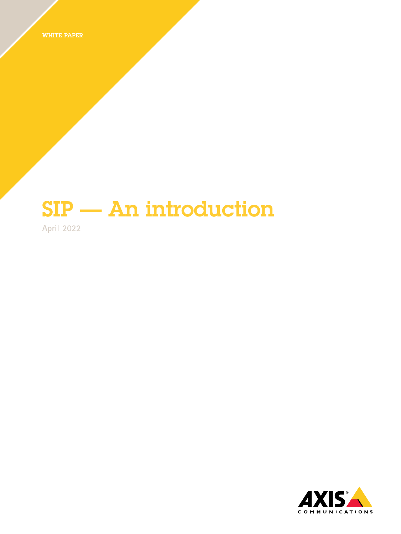WHITE PAPER

# SIP — An introduction

**April 2022**

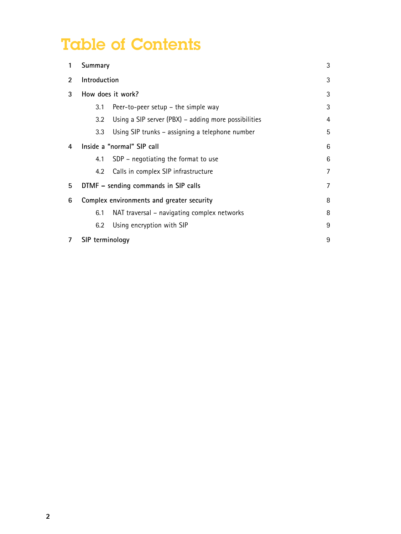## Table of Contents

| 1              | Summary                                                |                                                        | 3 |
|----------------|--------------------------------------------------------|--------------------------------------------------------|---|
| $\overline{2}$ | Introduction                                           |                                                        |   |
| 3              | How does it work?<br>3                                 |                                                        |   |
|                | 3.1                                                    | Peer-to-peer setup $-$ the simple way                  | 3 |
|                | 3.2                                                    | Using a SIP server $(PBX)$ – adding more possibilities | 4 |
|                | 3.3                                                    | Using SIP trunks - assigning a telephone number        | 5 |
| 4              | Inside a "normal" SIP call<br>6                        |                                                        |   |
|                | 4.1                                                    | $SDP$ – negotiating the format to use                  | 6 |
|                | 4.2                                                    | Calls in complex SIP infrastructure                    | 7 |
| 5              | $\overline{7}$<br>DTMF – sending commands in SIP calls |                                                        |   |
| 6              | Complex environments and greater security              |                                                        |   |
|                | 6.1                                                    | NAT traversal – navigating complex networks            | 8 |
|                | 6.2                                                    | Using encryption with SIP                              | 9 |
|                | 9<br>SIP terminology                                   |                                                        |   |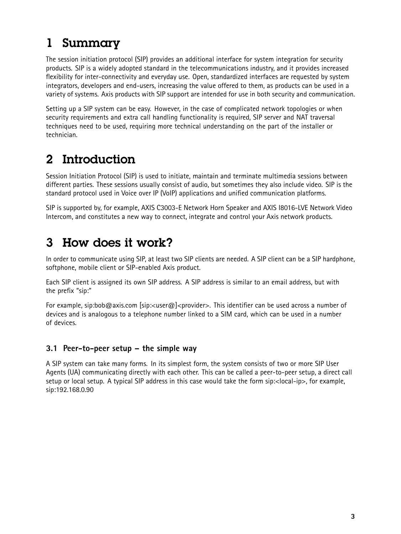### <span id="page-2-0"></span>1 Summary

The session initiation protocol (SIP) provides an additional interface for system integration for security products. SIP is <sup>a</sup> widely adopted standard in the telecommunications industry, and it provides increased flexibility for inter-connectivity and everyday use. Open, standardized interfaces are requested by system integrators, developers and end-users, increasing the value offered to them, as products can be used in <sup>a</sup> variety of systems. Axis products with SIP support are intended for use in both security and communication.

Setting up <sup>a</sup> SIP system can be easy. However, in the case of complicated network topologies or when security requirements and extra call handling functionality is required, SIP server and NAT traversal techniques need to be used, requiring more technical understanding on the part of the installer or technician.

### 2 Introduction

Session Initiation Protocol (SIP) is used to initiate, maintain and terminate multimedia sessions between different parties. These sessions usually consist of audio, but sometimes they also include video. SIP is the standard protocol used in Voice over IP (VoIP) applications and unified communication platforms.

SIP is supported by, for example, AXIS C3003-E Network Horn Speaker and AXIS I8016-LVE Network Video Intercom, and constitutes <sup>a</sup> new way to connect, integrate and control your Axis network products.

### 3 How does it work?

In order to communicate using SIP, at least two SIP clients are needed. A SIP client can be <sup>a</sup> SIP hardphone, softphone, mobile client or SIP-enabled Axis product.

Each SIP client is assigned its own SIP address. A SIP address is similar to an email address, but with the prefix "sip:"

For example, sip:bob@axis.com [sip:<user@]<provider>. This identifier can be used across a number of devices and is analogous to <sup>a</sup> telephone number linked to <sup>a</sup> SIM card, which can be used in <sup>a</sup> number of devices.

#### **3.1 Peer-to-peer setup – the simple way**

A SIP system can take many forms. In its simplest form, the system consists of two or more SIP User Agents (UA) communicating directly with each other. This can be called <sup>a</sup> peer-to-peer setup, <sup>a</sup> direct call setup or local setup. A typical SIP address in this case would take the form sip:<local-ip>, for example, sip:192.168.0.90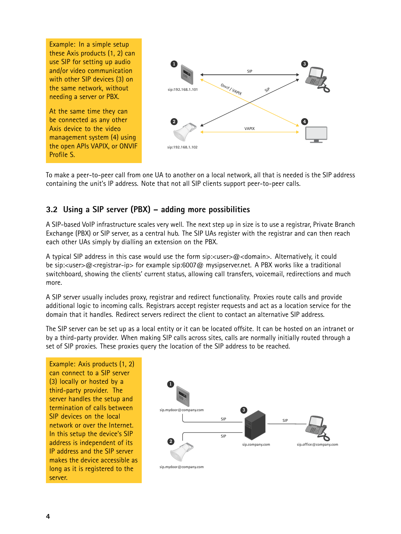<span id="page-3-0"></span>Example: In <sup>a</sup> simple setup these Axis products (1, 2) can use SIP for setting up audio and/or video communication with other SIP devices (3) on the same network, without needing <sup>a</sup> server or PBX.

At the same time they can be connected as any other Axis device to the video management system (4) using the open APIs VAPIX, or ONVIF Profile S.



To make <sup>a</sup> peer-to-peer call from one UA to another on <sup>a</sup> local network, all that is needed is the SIP address containing the unit's IP address. Note that not all SIP clients support peer-to-peer calls.

#### **3.2 Using <sup>a</sup> SIP server (PBX) – adding more possibilities**

A SIP-based VoIP infrastructure scales very well. The next step up in size is to use <sup>a</sup> registrar, Private Branch Exchange (PBX) or SIP server, as <sup>a</sup> central hub. The SIP UAs register with the registrar and can then reach each other UAs simply by dialling an extension on the PBX.

A typical SIP address in this case would use the form sip:<user>@<domain>. Alternatively, it could be sip:<user>@<reqistrar-ip> for example sip:6007@ mysipserver.net. A PBX works like a traditional switchboard, showing the clients' current status, allowing call transfers, voicemail, redirections and much more.

A SIP server usually includes proxy, registrar and redirect functionality. Proxies route calls and provide additional logic to incoming calls. Registrars accept register requests and act as <sup>a</sup> location service for the domain that it handles. Redirect servers redirect the client to contact an alternative SIP address.

The SIP server can be set up as <sup>a</sup> local entity or it can be located offsite. It can be hosted on an intranet or by <sup>a</sup> third-party provider. When making SIP calls across sites, calls are normally initially routed through <sup>a</sup> set of SIP proxies. These proxies query the location of the SIP address to be reached.

Example: Axis products (1, 2) can connect to <sup>a</sup> SIP server (3) locally or hosted by <sup>a</sup> third-party provider. The server handles the setup and termination of calls between SIP devices on the local network or over the Internet. In this setup the device's SIP address is independent of its IP address and the SIP server makes the device accessible as long as it is registered to the server.

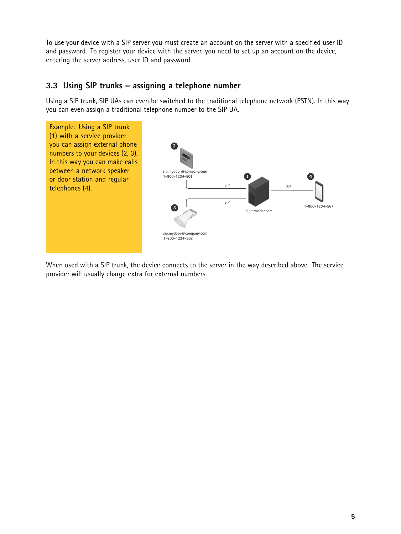<span id="page-4-0"></span>To use your device with <sup>a</sup> SIP server you must create an account on the server with <sup>a</sup> specified user ID and password. To register your device with the server, you need to set up an account on the device, entering the server address, user ID and password.

#### **3.3 Using SIP trunks – assigning <sup>a</sup> telephone number**

Using <sup>a</sup> SIP trunk, SIP UAs can even be switched to the traditional telephone network (PSTN). In this way you can even assign <sup>a</sup> traditional telephone number to the SIP UA.



When used with <sup>a</sup> SIP trunk, the device connects to the server in the way described above. The service provider will usually charge extra for external numbers.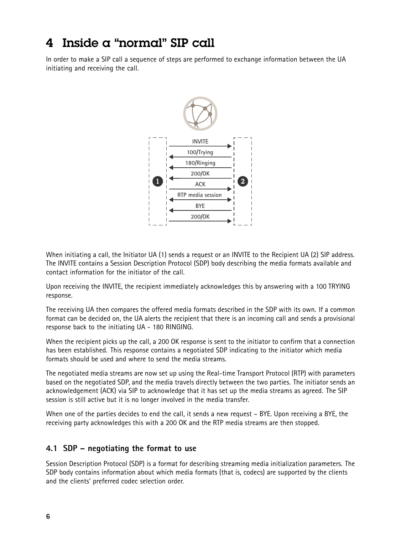### <span id="page-5-0"></span>4 Inside a "normal" SIP call

In order to make <sup>a</sup> SIP call <sup>a</sup> sequence of steps are performed to exchange information between the UA initiating and receiving the call.



When initiating <sup>a</sup> call, the Initiator UA (1) sends <sup>a</sup> request or an INVITE to the Recipient UA (2) SIP address. The INVITE contains <sup>a</sup> Session Description Protocol (SDP) body describing the media formats available and contact information for the initiator of the call.

Upon receiving the INVITE, the recipient immediately acknowledges this by answering with <sup>a</sup> 100 TRYING response.

The receiving UA then compares the offered media formats described in the SDP with its own. If <sup>a</sup> common format can be decided on, the UA alerts the recipient that there is an incoming call and sends <sup>a</sup> provisional response back to the initiating UA - 180 RINGING.

When the recipient picks up the call, <sup>a</sup> 200 OK response is sent to the initiator to confirm that <sup>a</sup> connection has been established. This response contains <sup>a</sup> negotiated SDP indicating to the initiator which media formats should be used and where to send the media streams.

The negotiated media streams are now set up using the Real-time Transport Protocol (RTP) with parameters based on the negotiated SDP, and the media travels directly between the two parties. The initiator sends an acknowledgement (ACK) via SIP to acknowledge that it has set up the media streams as agreed. The SIP session is still active but it is no longer involved in the media transfer.

When one of the parties decides to end the call, it sends <sup>a</sup> new request – BYE. Upon receiving <sup>a</sup> BYE, the receiving party acknowledges this with <sup>a</sup> 200 OK and the RTP media streams are then stopped.

#### **4.1 SDP – negotiating the format to use**

Session Description Protocol (SDP) is <sup>a</sup> format for describing streaming media initialization parameters. The SDP body contains information about which media formats (that is, codecs) are supported by the clients and the clients' preferred codec selection order.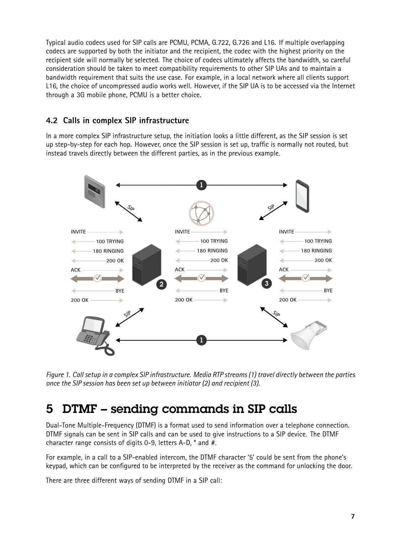<span id="page-6-0"></span>Typical audio codecs used for SIP calls are PCMU, PCMA, G.722, G.726 and L16. If multiple overlapping codecs are supported by both the initiator and the recipient, the codec with the highest priority on the recipient side will normally be selected. The choice of codecs ultimately affects the bandwidth, so careful consideration should be taken to meet compatibility requirements to other SIP UAs and to maintain <sup>a</sup> bandwidth requirement that suits the use case. For example, in <sup>a</sup> local network where all clients support L16, the choice of uncompressed audio works well. However, if the SIP UA is to be accessed via the Internet through <sup>a</sup> 3G mobile phone, PCMU is <sup>a</sup> better choice.

#### **4.2 Calls in complex SIP infrastructure**

In <sup>a</sup> more complex SIP infrastructure setup, the initiation looks <sup>a</sup> little different, as the SIP session is set up step-by-step for each hop. However, once the SIP session is set up, traffic is normally not routed, but instead travels directly between the different parties, as in the previous example.



Figure 1. Call setup in a complex SIP infrastructure. Media RTP streams (1) travel directly between the parties *once the SIP session has been set up between initiator (2) and recipient (3).*

### 5 DTMF – sending commands in SIP calls

Dual-Tone Multiple-Frequency (DTMF) is <sup>a</sup> format used to send information over <sup>a</sup> telephone connection. DTMF signals can be sent in SIP calls and can be used to give instructions to <sup>a</sup> SIP device. The DTMF character range consists of digits 0-9, letters A-D, \* and #.

For example, in <sup>a</sup> call to <sup>a</sup> SIP-enabled intercom, the DTMF character '5' could be sent from the phone's keypad, which can be configured to be interpreted by the receiver as the command for unlocking the door.

There are three different ways of sending DTMF in <sup>a</sup> SIP call: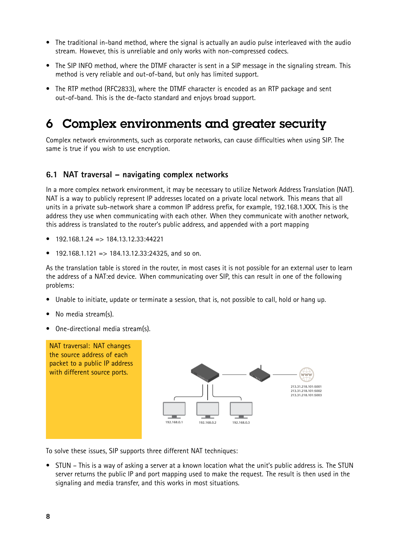- <span id="page-7-0"></span>• The traditional in-band method, where the signal is actually an audio pulse interleaved with the audio stream. However, this is unreliable and only works with non-compressed codecs.
- The SIP INFO method, where the DTMF character is sent in <sup>a</sup> SIP message in the signaling stream. This method is very reliable and out-of-band, but only has limited support.
- The RTP method (RFC2833), where the DTMF character is encoded as an RTP package and sent out-of-band. This is the de-facto standard and enjoys broad support.

### 6 Complex environments and greater security

Complex network environments, such as corporate networks, can cause difficulties when using SIP. The same is true if you wish to use encryption.

#### **6.1 NAT traversal – navigating complex networks**

In <sup>a</sup> more complex network environment, it may be necessary to utilize Network Address Translation (NAT). NAT is <sup>a</sup> way to publicly represent IP addresses located on <sup>a</sup> private local network. This means that all units in <sup>a</sup> private sub-network share <sup>a</sup> common IP address prefix, for example, 192.168.1.XXX. This is the address they use when communicating with each other. When they communicate with another network, this address is translated to the router's public address, and appended with <sup>a</sup> port mapping

- •192.168.1.24 => 184.13.12.33:44221
- •192.168.1.121 => 184.13.12.33:24325, and so on.

As the translation table is stored in the router, in most cases it is not possible for an external user to learn the address of <sup>a</sup> NAT:ed device. When communicating over SIP, this can result in one of the following problems:

- •Unable to initiate, update or terminate <sup>a</sup> session, that is, not possible to call, hold or hang up.
- •No media stream(s).
- •One-directional media stream(s).



To solve these issues, SIP supports three different NAT techniques:

• STUN – This is <sup>a</sup> way of asking <sup>a</sup> server at <sup>a</sup> known location what the unit's public address is. The STUN server returns the public IP and port mapping used to make the request. The result is then used in the signaling and media transfer, and this works in most situations.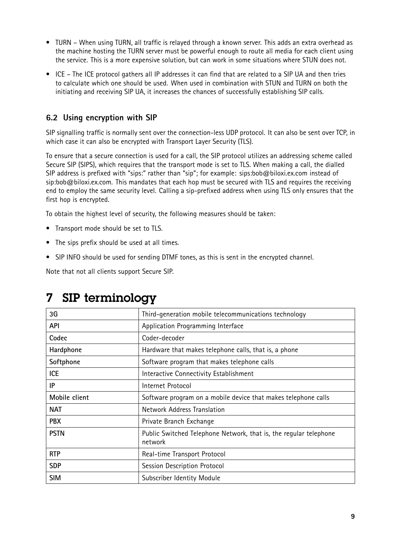- <span id="page-8-0"></span>• TURN – When using TURN, all traffic is relayed through <sup>a</sup> known server. This adds an extra overhead as the machine hosting the TURN server must be powerful enough to route all media for each client using the service. This is <sup>a</sup> more expensive solution, but can work in some situations where STUN does not.
- ICE The ICE protocol gathers all IP addresses it can find that are related to <sup>a</sup> SIP UA and then tries to calculate which one should be used. When used in combination with STUN and TURN on both the initiating and receiving SIP UA, it increases the chances of successfully establishing SIP calls.

#### **6.2 Using encryption with SIP**

SIP signalling traffic is normally sent over the connection-less UDP protocol. It can also be sent over TCP, in which case it can also be encrypted with Transport Layer Security (TLS).

To ensure that <sup>a</sup> secure connection is used for <sup>a</sup> call, the SIP protocol utilizes an addressing scheme called Secure SIP (SIPS), which requires that the transport mode is set to TLS. When making <sup>a</sup> call, the dialled SIP address is prefixed with "sips:" rather than "sip"; for example: sips:bob@biloxi.ex.com instead of sip:bob@biloxi.ex.com. This mandates that each hop must be secured with TLS and requires the receiving end to employ the same security level. Calling <sup>a</sup> sip-prefixed address when using TLS only ensures that the first hop is encrypted.

To obtain the highest level of security, the following measures should be taken:

- Transport mode should be set to TLS.
- The sips prefix should be used at all times.
- SIP INFO should be used for sending DTMF tones, as this is sent in the encrypted channel.

Note that not all clients support Secure SIP.

| 3G            | Third-generation mobile telecommunications technology                        |
|---------------|------------------------------------------------------------------------------|
| <b>API</b>    | Application Programming Interface                                            |
| Codec         | Coder-decoder                                                                |
| Hardphone     | Hardware that makes telephone calls, that is, a phone                        |
| Softphone     | Software program that makes telephone calls                                  |
| <b>ICE</b>    | Interactive Connectivity Establishment                                       |
| IP            | Internet Protocol                                                            |
| Mobile client | Software program on a mobile device that makes telephone calls               |
| <b>NAT</b>    | <b>Network Address Translation</b>                                           |
| <b>PBX</b>    | Private Branch Exchange                                                      |
| <b>PSTN</b>   | Public Switched Telephone Network, that is, the regular telephone<br>network |
| <b>RTP</b>    | Real-time Transport Protocol                                                 |
| <b>SDP</b>    | Session Description Protocol                                                 |
| <b>SIM</b>    | Subscriber Identity Module                                                   |

### 7 SIP terminology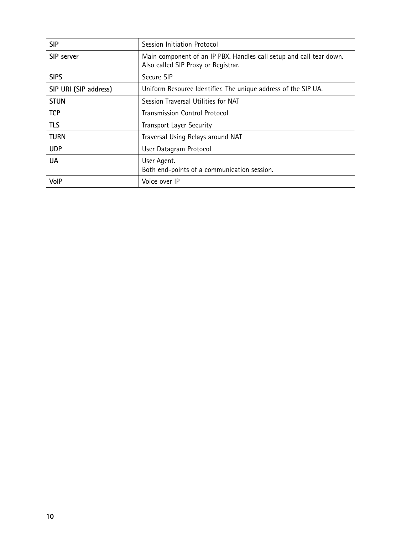| <b>SIP</b>            | Session Initiation Protocol                                                                                |
|-----------------------|------------------------------------------------------------------------------------------------------------|
| SIP server            | Main component of an IP PBX. Handles call setup and call tear down.<br>Also called SIP Proxy or Registrar. |
| <b>SIPS</b>           | Secure SIP                                                                                                 |
| SIP URI (SIP address) | Uniform Resource Identifier. The unique address of the SIP UA.                                             |
| <b>STUN</b>           | Session Traversal Utilities for NAT                                                                        |
| <b>TCP</b>            | <b>Transmission Control Protocol</b>                                                                       |
| <b>TLS</b>            | <b>Transport Layer Security</b>                                                                            |
| <b>TURN</b>           | Traversal Using Relays around NAT                                                                          |
| <b>UDP</b>            | User Datagram Protocol                                                                                     |
| <b>UA</b>             | User Agent.<br>Both end-points of a communication session.                                                 |
| VolP                  | Voice over IP                                                                                              |